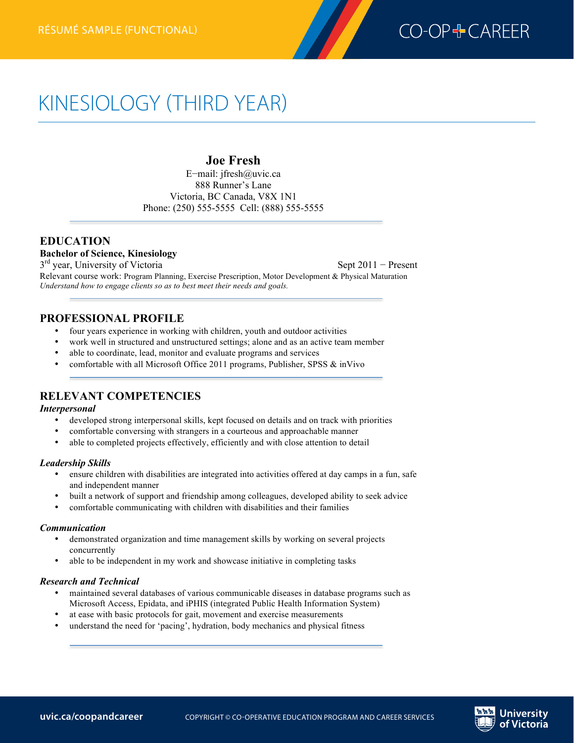

# KINESIOLOGY (THIRD YEAR)

## **Joe Fresh**

E−mail: jfresh@uvic.ca 888 Runner's Lane Victoria, BC Canada, V8X 1N1 Phone: (250) 555-5555 Cell: (888) 555-5555

## **EDUCATION**

**Bachelor of Science, Kinesiology**

3<sup>rd</sup> year, University of Victoria Sept 2011 − Present Relevant course work: Program Planning, Exercise Prescription, Motor Development & Physical Maturation *Understand how to engage clients so as to best meet their needs and goals.*

### **PROFESSIONAL PROFILE**

- four years experience in working with children, youth and outdoor activities
- work well in structured and unstructured settings; alone and as an active team member
- able to coordinate, lead, monitor and evaluate programs and services
- comfortable with all Microsoft Office 2011 programs, Publisher, SPSS & inVivo

## **RELEVANT COMPETENCIES**

#### *Interpersonal*

- developed strong interpersonal skills, kept focused on details and on track with priorities
- comfortable conversing with strangers in a courteous and approachable manner
- able to completed projects effectively, efficiently and with close attention to detail

#### *Leadership Skills*

- ensure children with disabilities are integrated into activities offered at day camps in a fun, safe and independent manner
- built a network of support and friendship among colleagues, developed ability to seek advice
- comfortable communicating with children with disabilities and their families

#### *Communication*

- demonstrated organization and time management skills by working on several projects concurrently
- able to be independent in my work and showcase initiative in completing tasks

#### *Research and Technical*

- maintained several databases of various communicable diseases in database programs such as Microsoft Access, Epidata, and iPHIS (integrated Public Health Information System)
- at ease with basic protocols for gait, movement and exercise measurements
- understand the need for 'pacing', hydration, body mechanics and physical fitness

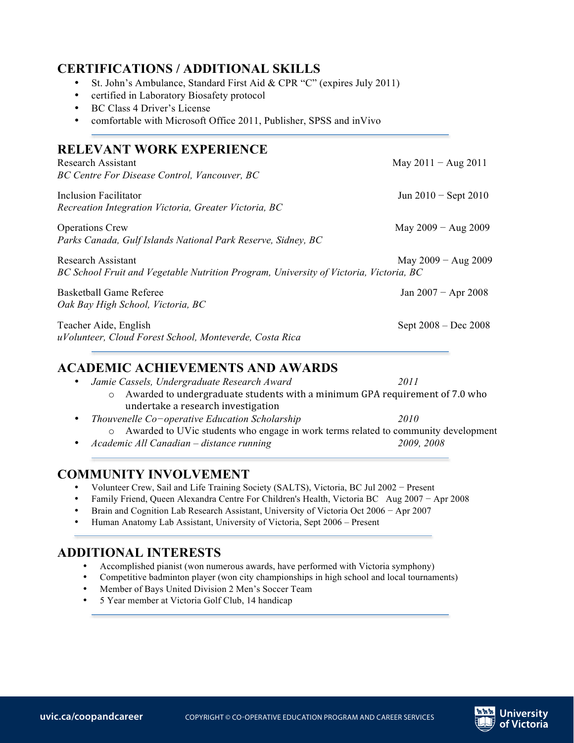# **CERTIFICATIONS / ADDITIONAL SKILLS**

- St. John's Ambulance, Standard First Aid & CPR "C" (expires July 2011)
- certified in Laboratory Biosafety protocol
- BC Class 4 Driver's License
- comfortable with Microsoft Office 2011, Publisher, SPSS and inVivo

## **RELEVANT WORK EXPERIENCE**

| Research Assistant<br>BC Centre For Disease Control, Vancouver, BC                                                                   | May $2011 - Aug 2011$  |
|--------------------------------------------------------------------------------------------------------------------------------------|------------------------|
| Inclusion Facilitator<br>Recreation Integration Victoria, Greater Victoria, BC                                                       | Jun $2010 -$ Sept 2010 |
| <b>Operations Crew</b><br>Parks Canada, Gulf Islands National Park Reserve, Sidney, BC                                               | May $2009 - Aug 2009$  |
| Research Assistant<br>May $2009 - Aug 2009$<br>BC School Fruit and Vegetable Nutrition Program, University of Victoria, Victoria, BC |                        |
| Basketball Game Referee<br>Oak Bay High School, Victoria, BC                                                                         | Jan $2007 -$ Apr 2008  |
| Teacher Aide, English<br>uVolunteer, Cloud Forest School, Monteverde, Costa Rica                                                     | Sept 2008 – Dec 2008   |
| <b>ACADEMIC ACHIEVEMENTS AND AWARDS</b>                                                                                              |                        |

# **ACADEMIC ACHIEVEMENTS AND AWARDS**

|           | • Jamie Cassels, Undergraduate Research Award                                                  | 2011       |
|-----------|------------------------------------------------------------------------------------------------|------------|
|           | Awarded to undergraduate students with a minimum GPA requirement of 7.0 who<br>$\circ$         |            |
| $\bullet$ | undertake a research investigation<br>Thouvenelle Co-operative Education Scholarship           | 2010       |
|           | Awarded to UVic students who engage in work terms related to community development<br>$\Omega$ |            |
|           | • Academic All Canadian – distance running                                                     | 2009, 2008 |

# **COMMUNITY INVOLVEMENT**

- Volunteer Crew, Sail and Life Training Society (SALTS), Victoria, BC Jul 2002 − Present
- Family Friend, Queen Alexandra Centre For Children's Health, Victoria BC Aug 2007 − Apr 2008
- Brain and Cognition Lab Research Assistant, University of Victoria Oct 2006 − Apr 2007
- Human Anatomy Lab Assistant, University of Victoria, Sept 2006 Present

# **ADDITIONAL INTERESTS**

- Accomplished pianist (won numerous awards, have performed with Victoria symphony)
- Competitive badminton player (won city championships in high school and local tournaments)
- Member of Bays United Division 2 Men's Soccer Team
- 5 Year member at Victoria Golf Club, 14 handicap